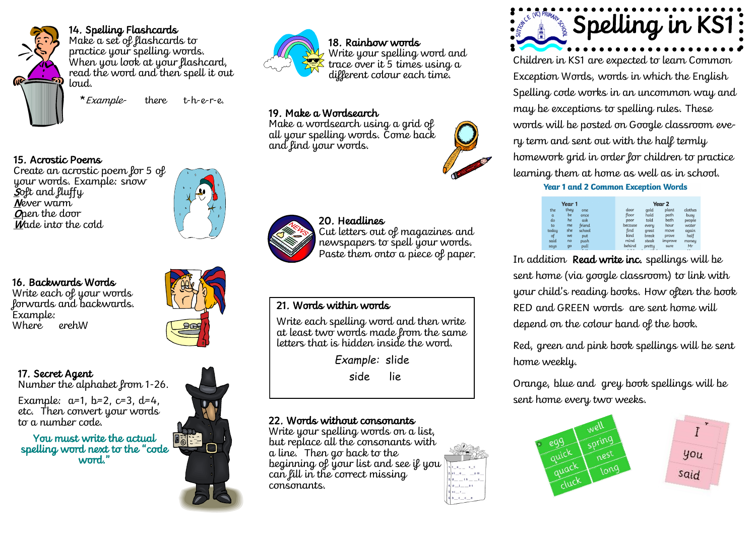

14. Spelling Flashcards

Make a set of flashcards to practice your spelling words. When you look at your flashcard, read the word and then spell it out loud.

\*Example- there t-h-e-r-e.

### 15. Acrostic Poems

Create an acrostic poem for 5 of your words. Example: snow Soft and fluffy Never warm Open the door Wade into the cold

### 16. Backwards Words

Write each of your words forwards and backwards. Example: Where erehW



### 17. Secret Agent Number the alphabet from 1-26.

Example:  $a=1$ ,  $b=2$ ,  $c=3$ ,  $d=4$ , etc. Then convert your words to a number code.

You must write the actual spelling word next to the "code word."





# 18. Rainbow words Write your spelling word and

trace over it 5 times using a different colour each time.

# 19. Make a Wordsearch

Make a wordsearch using a grid of all your spelling words. Come back and find your words.



# 20. Headlines

Cut letters out of magazines and newspapers to spell your words. Paste them onto a piece of paper.

## 21. Words within words

Write each spelling word and then write at least two words made from the same letters that is hidden inside the word.

*Example:* slide

side lie

# 22. Words without consonants

Write your spelling words on a list, but replace all the consonants with a line. Then go back to the beginning of your list and see if you can fill in the correct missing consonants.



Children in KS1 are expected to learn Common Exception Words, words in which the English Spelling code works in an uncommon way and may be exceptions to spelling rules. These words will be posted on Google classroom every term and sent out with the half termly homework grid in order for children to practice learning them at home as well as in school. **Year 1 and 2 Common Exception Words** 

| Year 1   |      |        |  | Year 2   |        |         |         |
|----------|------|--------|--|----------|--------|---------|---------|
| the      | they | one    |  | door     | qold   | plant   | clothes |
| $\alpha$ | be   | once   |  | floor    | hold   | path    | busu    |
| do       | he   | ask    |  | poor     | told   | bath    | people  |
| to       | me   | friend |  | because  | every  | hour    | water   |
| todau    | she  | school |  | find     | great  | move    | again   |
| of       | we   | put    |  | kind     | break  | prove   | half    |
| said     | no   | push   |  | mind     | steak  | improve | money   |
| saus     | qo   | pull   |  | behind   | pretty | sure    | Mr      |
|          |      | $ -$   |  | <b>A</b> | . .    |         |         |

In addition Read write inc. spellings will be sent home (via google classroom) to link with your child's reading books. How often the book RED and GREEN words are sent home will depend on the colour band of the book.

Red, green and pink book spellings will be sent home weekly.

Orange, blue and grey book spellings will be sent home every two weeks.